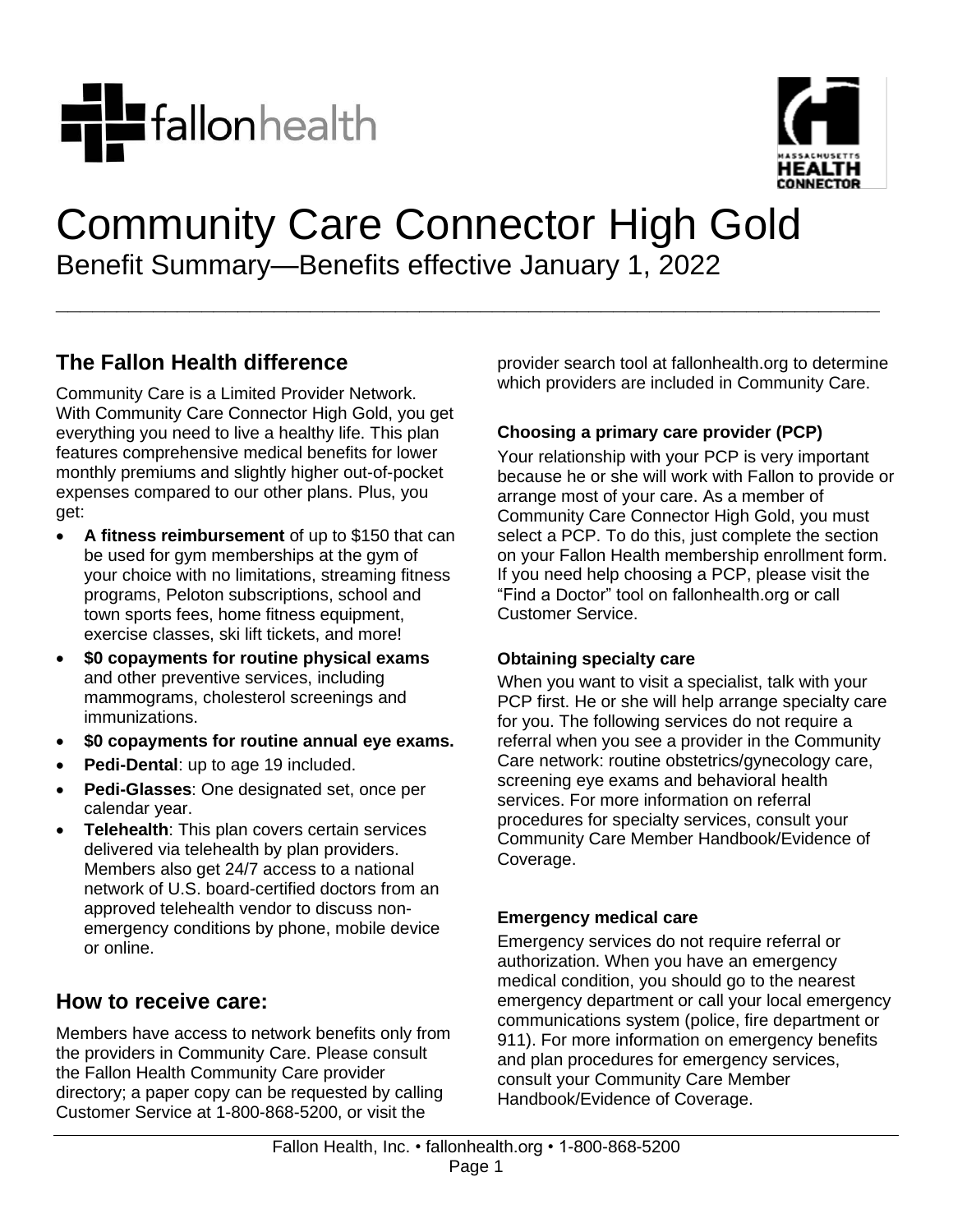



# Community Care Connector High Gold Benefit Summary—Benefits effective January 1, 2022

**\_\_\_\_\_\_\_\_\_\_\_\_\_\_\_\_\_\_\_\_\_\_\_\_\_\_\_\_\_\_\_\_\_\_\_\_\_\_\_\_\_\_\_\_\_\_\_\_\_\_\_\_\_\_\_\_\_\_\_\_\_\_\_\_\_\_\_\_**

## **The Fallon Health difference**

Community Care is a Limited Provider Network. With Community Care Connector High Gold, you get everything you need to live a healthy life. This plan features comprehensive medical benefits for lower monthly premiums and slightly higher out-of-pocket expenses compared to our other plans. Plus, you get:

- **A fitness reimbursement** of up to \$150 that can be used for gym memberships at the gym of your choice with no limitations, streaming fitness programs, Peloton subscriptions, school and town sports fees, home fitness equipment, exercise classes, ski lift tickets, and more!
- **\$0 copayments for routine physical exams** and other preventive services, including mammograms, cholesterol screenings and immunizations.
- **\$0 copayments for routine annual eye exams.**
- **Pedi-Dental**: up to age 19 included.
- **Pedi-Glasses**: One designated set, once per calendar year.
- **Telehealth**: This plan covers certain services delivered via telehealth by plan providers. Members also get 24/7 access to a national network of U.S. board-certified doctors from an approved telehealth vendor to discuss nonemergency conditions by phone, mobile device or online.

## **How to receive care:**

Members have access to network benefits only from the providers in Community Care. Please consult the Fallon Health Community Care provider directory; a paper copy can be requested by calling Customer Service at 1-800-868-5200, or visit the

provider search tool at fallonhealth.org to determine which providers are included in Community Care.

### **Choosing a primary care provider (PCP)**

Your relationship with your PCP is very important because he or she will work with Fallon to provide or arrange most of your care. As a member of Community Care Connector High Gold, you must select a PCP. To do this, just complete the section on your Fallon Health membership enrollment form. If you need help choosing a PCP, please visit the "Find a Doctor" tool on fallonhealth.org or call Customer Service.

#### **Obtaining specialty care**

When you want to visit a specialist, talk with your PCP first. He or she will help arrange specialty care for you. The following services do not require a referral when you see a provider in the Community Care network: routine obstetrics/gynecology care, screening eye exams and behavioral health services. For more information on referral procedures for specialty services, consult your Community Care Member Handbook/Evidence of Coverage.

#### **Emergency medical care**

Emergency services do not require referral or authorization. When you have an emergency medical condition, you should go to the nearest emergency department or call your local emergency communications system (police, fire department or 911). For more information on emergency benefits and plan procedures for emergency services, consult your Community Care Member Handbook/Evidence of Coverage.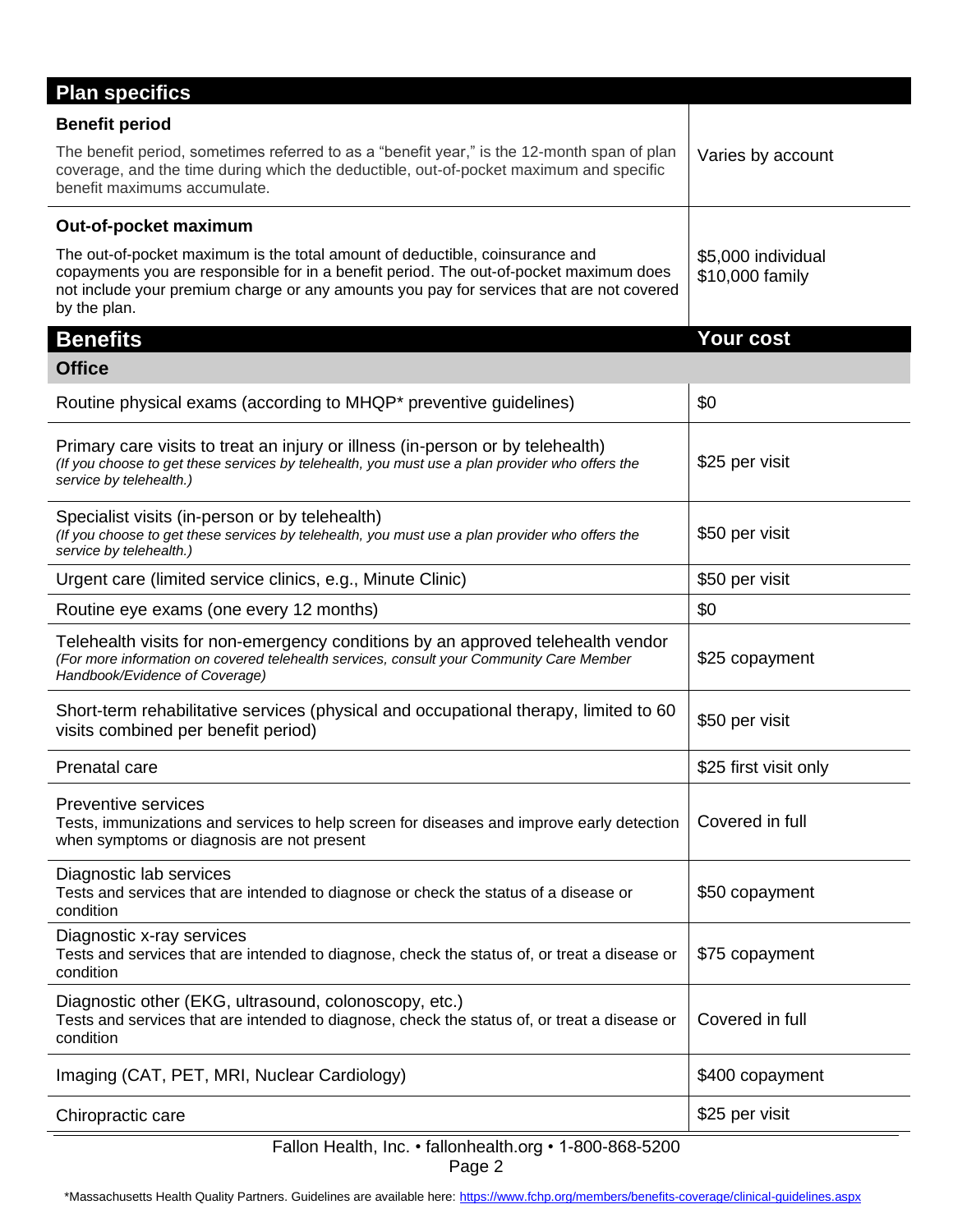| <b>Plan specifics</b>                                                                                                                                                                                                                                                              |                                       |  |
|------------------------------------------------------------------------------------------------------------------------------------------------------------------------------------------------------------------------------------------------------------------------------------|---------------------------------------|--|
| <b>Benefit period</b>                                                                                                                                                                                                                                                              |                                       |  |
| The benefit period, sometimes referred to as a "benefit year," is the 12-month span of plan<br>coverage, and the time during which the deductible, out-of-pocket maximum and specific<br>benefit maximums accumulate.                                                              | Varies by account                     |  |
| Out-of-pocket maximum                                                                                                                                                                                                                                                              |                                       |  |
| The out-of-pocket maximum is the total amount of deductible, coinsurance and<br>copayments you are responsible for in a benefit period. The out-of-pocket maximum does<br>not include your premium charge or any amounts you pay for services that are not covered<br>by the plan. | \$5,000 individual<br>\$10,000 family |  |
| <b>Benefits</b>                                                                                                                                                                                                                                                                    | <b>Your cost</b>                      |  |
| <b>Office</b>                                                                                                                                                                                                                                                                      |                                       |  |
| Routine physical exams (according to MHQP* preventive guidelines)                                                                                                                                                                                                                  | \$0                                   |  |
| Primary care visits to treat an injury or illness (in-person or by telehealth)<br>(If you choose to get these services by telehealth, you must use a plan provider who offers the<br>service by telehealth.)                                                                       | \$25 per visit                        |  |
| Specialist visits (in-person or by telehealth)<br>(If you choose to get these services by telehealth, you must use a plan provider who offers the<br>service by telehealth.)                                                                                                       | \$50 per visit                        |  |
| Urgent care (limited service clinics, e.g., Minute Clinic)                                                                                                                                                                                                                         | \$50 per visit                        |  |
| Routine eye exams (one every 12 months)                                                                                                                                                                                                                                            | \$0                                   |  |
| Telehealth visits for non-emergency conditions by an approved telehealth vendor<br>(For more information on covered telehealth services, consult your Community Care Member<br>Handbook/Evidence of Coverage)                                                                      | \$25 copayment                        |  |
| Short-term rehabilitative services (physical and occupational therapy, limited to 60<br>visits combined per benefit period)                                                                                                                                                        | \$50 per visit                        |  |
| Prenatal care                                                                                                                                                                                                                                                                      | \$25 first visit only                 |  |
| Preventive services<br>Tests, immunizations and services to help screen for diseases and improve early detection<br>when symptoms or diagnosis are not present                                                                                                                     | Covered in full                       |  |
| Diagnostic lab services<br>Tests and services that are intended to diagnose or check the status of a disease or<br>condition                                                                                                                                                       | \$50 copayment                        |  |
| Diagnostic x-ray services<br>Tests and services that are intended to diagnose, check the status of, or treat a disease or<br>condition                                                                                                                                             | \$75 copayment                        |  |
| Diagnostic other (EKG, ultrasound, colonoscopy, etc.)<br>Tests and services that are intended to diagnose, check the status of, or treat a disease or<br>condition                                                                                                                 | Covered in full                       |  |
| Imaging (CAT, PET, MRI, Nuclear Cardiology)                                                                                                                                                                                                                                        | \$400 copayment                       |  |
| Chiropractic care                                                                                                                                                                                                                                                                  | \$25 per visit                        |  |
| Fallon Health, Inc. • fallonhealth.org • 1-800-868-5200<br>Page 2                                                                                                                                                                                                                  |                                       |  |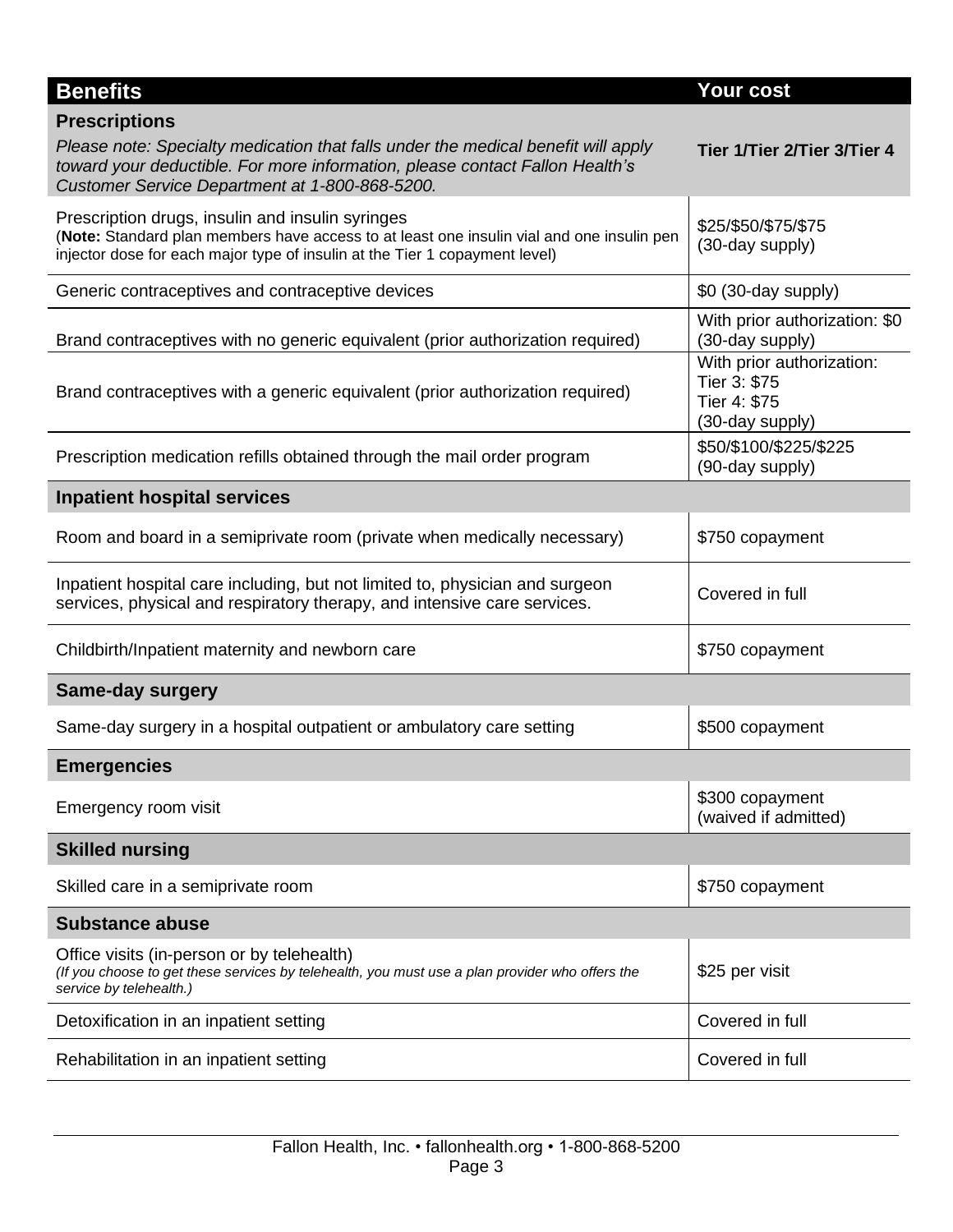| <b>Benefits</b>                                                                                                                                                                                                                             | Your cost                                                                    |
|---------------------------------------------------------------------------------------------------------------------------------------------------------------------------------------------------------------------------------------------|------------------------------------------------------------------------------|
| <b>Prescriptions</b><br>Please note: Specialty medication that falls under the medical benefit will apply<br>toward your deductible. For more information, please contact Fallon Health's<br>Customer Service Department at 1-800-868-5200. | Tier 1/Tier 2/Tier 3/Tier 4                                                  |
| Prescription drugs, insulin and insulin syringes<br>(Note: Standard plan members have access to at least one insulin vial and one insulin pen<br>injector dose for each major type of insulin at the Tier 1 copayment level)                | \$25/\$50/\$75/\$75<br>(30-day supply)                                       |
| Generic contraceptives and contraceptive devices                                                                                                                                                                                            | \$0 (30-day supply)                                                          |
| Brand contraceptives with no generic equivalent (prior authorization required)                                                                                                                                                              | With prior authorization: \$0<br>(30-day supply)                             |
| Brand contraceptives with a generic equivalent (prior authorization required)                                                                                                                                                               | With prior authorization:<br>Tier 3: \$75<br>Tier 4: \$75<br>(30-day supply) |
| Prescription medication refills obtained through the mail order program                                                                                                                                                                     | \$50/\$100/\$225/\$225<br>(90-day supply)                                    |
| <b>Inpatient hospital services</b>                                                                                                                                                                                                          |                                                                              |
| Room and board in a semiprivate room (private when medically necessary)                                                                                                                                                                     | \$750 copayment                                                              |
| Inpatient hospital care including, but not limited to, physician and surgeon<br>services, physical and respiratory therapy, and intensive care services.                                                                                    | Covered in full                                                              |
| Childbirth/Inpatient maternity and newborn care                                                                                                                                                                                             | \$750 copayment                                                              |
| <b>Same-day surgery</b>                                                                                                                                                                                                                     |                                                                              |
| Same-day surgery in a hospital outpatient or ambulatory care setting                                                                                                                                                                        | \$500 copayment                                                              |
| <b>Emergencies</b>                                                                                                                                                                                                                          |                                                                              |
| Emergency room visit                                                                                                                                                                                                                        | \$300 copayment<br>(waived if admitted)                                      |
| <b>Skilled nursing</b>                                                                                                                                                                                                                      |                                                                              |
| Skilled care in a semiprivate room                                                                                                                                                                                                          | \$750 copayment                                                              |
| <b>Substance abuse</b>                                                                                                                                                                                                                      |                                                                              |
| Office visits (in-person or by telehealth)<br>(If you choose to get these services by telehealth, you must use a plan provider who offers the<br>service by telehealth.)                                                                    | \$25 per visit                                                               |
| Detoxification in an inpatient setting                                                                                                                                                                                                      | Covered in full                                                              |
| Rehabilitation in an inpatient setting                                                                                                                                                                                                      | Covered in full                                                              |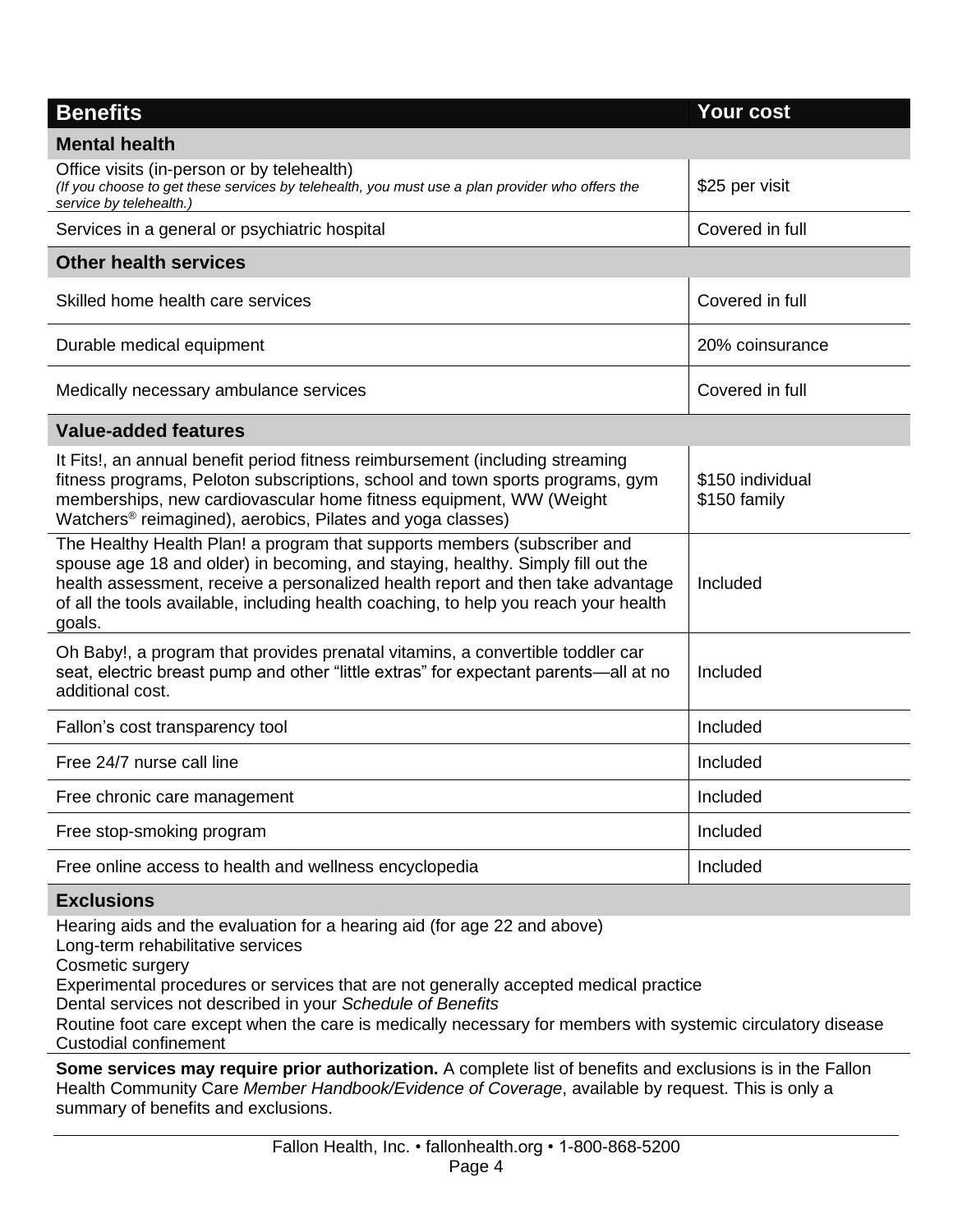| <b>Benefits</b>                                                                                                                                                                                                                                                                                                                                  | <b>Your cost</b>                 |
|--------------------------------------------------------------------------------------------------------------------------------------------------------------------------------------------------------------------------------------------------------------------------------------------------------------------------------------------------|----------------------------------|
| <b>Mental health</b>                                                                                                                                                                                                                                                                                                                             |                                  |
| Office visits (in-person or by telehealth)<br>(If you choose to get these services by telehealth, you must use a plan provider who offers the<br>service by telehealth.)                                                                                                                                                                         | \$25 per visit                   |
| Services in a general or psychiatric hospital                                                                                                                                                                                                                                                                                                    | Covered in full                  |
| <b>Other health services</b>                                                                                                                                                                                                                                                                                                                     |                                  |
| Skilled home health care services                                                                                                                                                                                                                                                                                                                | Covered in full                  |
| Durable medical equipment                                                                                                                                                                                                                                                                                                                        | 20% coinsurance                  |
| Medically necessary ambulance services                                                                                                                                                                                                                                                                                                           | Covered in full                  |
| <b>Value-added features</b>                                                                                                                                                                                                                                                                                                                      |                                  |
| It Fits!, an annual benefit period fitness reimbursement (including streaming<br>fitness programs, Peloton subscriptions, school and town sports programs, gym<br>memberships, new cardiovascular home fitness equipment, WW (Weight<br>Watchers <sup>®</sup> reimagined), aerobics, Pilates and yoga classes)                                   | \$150 individual<br>\$150 family |
| The Healthy Health Plan! a program that supports members (subscriber and<br>spouse age 18 and older) in becoming, and staying, healthy. Simply fill out the<br>health assessment, receive a personalized health report and then take advantage<br>of all the tools available, including health coaching, to help you reach your health<br>goals. | Included                         |
| Oh Baby!, a program that provides prenatal vitamins, a convertible toddler car<br>seat, electric breast pump and other "little extras" for expectant parents—all at no<br>additional cost.                                                                                                                                                       | Included                         |
| Fallon's cost transparency tool                                                                                                                                                                                                                                                                                                                  | Included                         |
| Free 24/7 nurse call line                                                                                                                                                                                                                                                                                                                        | Included                         |
| Free chronic care management                                                                                                                                                                                                                                                                                                                     | Included                         |
| Free stop-smoking program                                                                                                                                                                                                                                                                                                                        | Included                         |
| Free online access to health and wellness encyclopedia                                                                                                                                                                                                                                                                                           | Included                         |

#### **Exclusions**

Hearing aids and the evaluation for a hearing aid (for age 22 and above)

Long-term rehabilitative services

Cosmetic surgery

Experimental procedures or services that are not generally accepted medical practice

Dental services not described in your *Schedule of Benefits*

Routine foot care except when the care is medically necessary for members with systemic circulatory disease Custodial confinement

**Some services may require prior authorization.** A complete list of benefits and exclusions is in the Fallon Health Community Care *Member Handbook/Evidence of Coverage*, available by request. This is only a summary of benefits and exclusions.